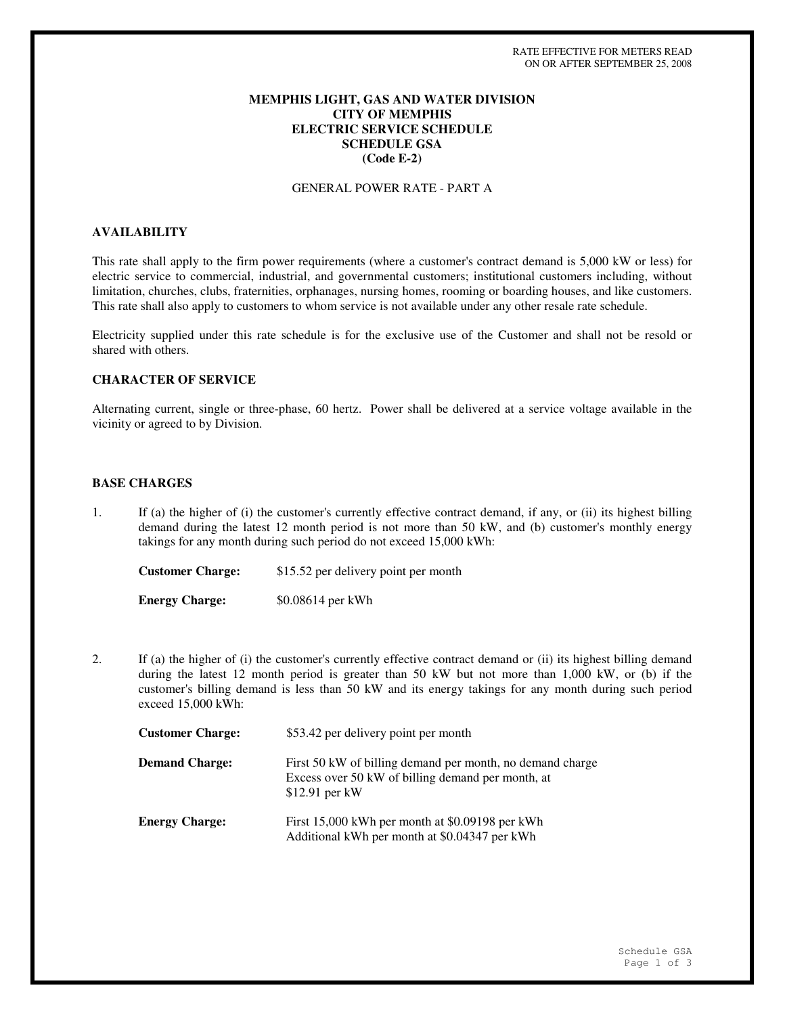### **MEMPHIS LIGHT, GAS AND WATER DIVISION CITY OF MEMPHIS ELECTRIC SERVICE SCHEDULE SCHEDULE GSA (Code E-2)**

#### GENERAL POWER RATE - PART A

# **AVAILABILITY**

This rate shall apply to the firm power requirements (where a customer's contract demand is 5,000 kW or less) for electric service to commercial, industrial, and governmental customers; institutional customers including, without limitation, churches, clubs, fraternities, orphanages, nursing homes, rooming or boarding houses, and like customers. This rate shall also apply to customers to whom service is not available under any other resale rate schedule.

Electricity supplied under this rate schedule is for the exclusive use of the Customer and shall not be resold or shared with others.

# **CHARACTER OF SERVICE**

Alternating current, single or three-phase, 60 hertz. Power shall be delivered at a service voltage available in the vicinity or agreed to by Division.

#### **BASE CHARGES**

1. If (a) the higher of (i) the customer's currently effective contract demand, if any, or (ii) its highest billing demand during the latest 12 month period is not more than 50 kW, and (b) customer's monthly energy takings for any month during such period do not exceed 15,000 kWh:

**Customer Charge:** \$15.52 per delivery point per month **Energy Charge:** \$0.08614 per kWh

2. If (a) the higher of (i) the customer's currently effective contract demand or (ii) its highest billing demand during the latest 12 month period is greater than 50 kW but not more than 1,000 kW, or (b) if the customer's billing demand is less than 50 kW and its energy takings for any month during such period exceed 15,000 kWh:

| <b>Customer Charge:</b> | \$53.42 per delivery point per month                                                                                              |
|-------------------------|-----------------------------------------------------------------------------------------------------------------------------------|
| <b>Demand Charge:</b>   | First 50 kW of billing demand per month, no demand charge<br>Excess over 50 kW of billing demand per month, at<br>$$12.91$ per kW |
| <b>Energy Charge:</b>   | First 15,000 kWh per month at \$0.09198 per kWh<br>Additional kWh per month at \$0.04347 per kWh                                  |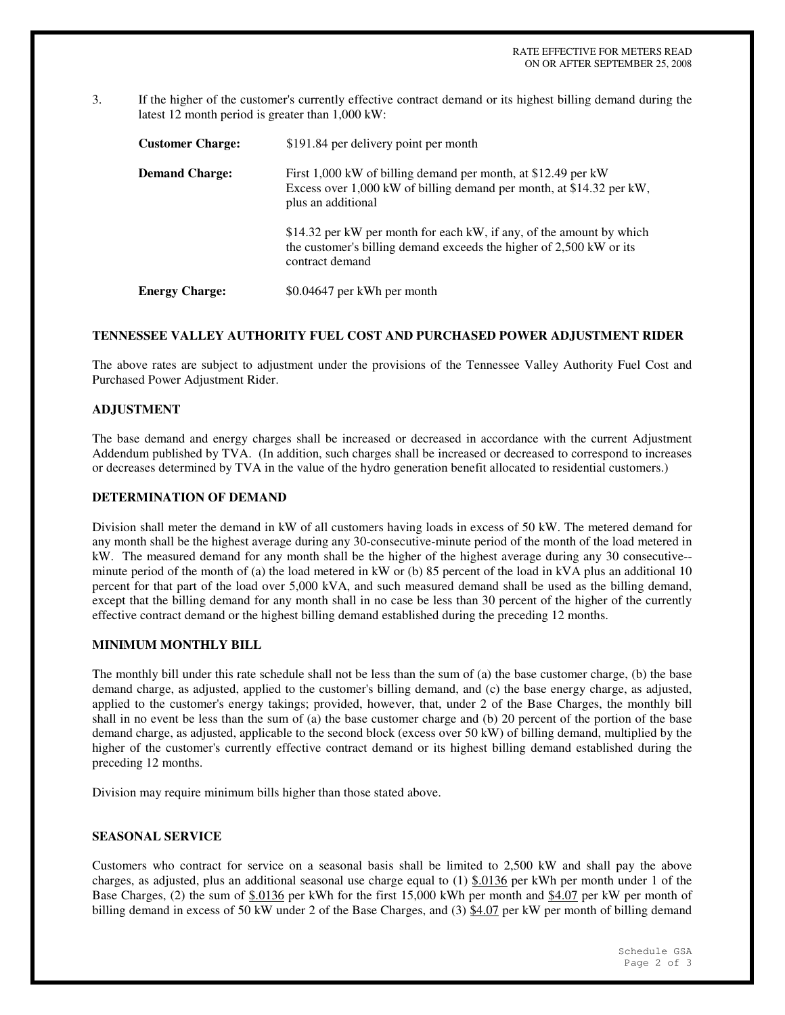3. If the higher of the customer's currently effective contract demand or its highest billing demand during the latest 12 month period is greater than 1,000 kW:

| <b>Customer Charge:</b> | \$191.84 per delivery point per month                                                                                                                          |
|-------------------------|----------------------------------------------------------------------------------------------------------------------------------------------------------------|
| <b>Demand Charge:</b>   | First 1,000 kW of billing demand per month, at \$12.49 per kW<br>Excess over 1,000 kW of billing demand per month, at \$14.32 per kW,<br>plus an additional    |
|                         | \$14.32 per kW per month for each kW, if any, of the amount by which<br>the customer's billing demand exceeds the higher of 2,500 kW or its<br>contract demand |
| <b>Energy Charge:</b>   | \$0.04647 per kWh per month                                                                                                                                    |

### **TENNESSEE VALLEY AUTHORITY FUEL COST AND PURCHASED POWER ADJUSTMENT RIDER**

The above rates are subject to adjustment under the provisions of the Tennessee Valley Authority Fuel Cost and Purchased Power Adjustment Rider.

# **ADJUSTMENT**

The base demand and energy charges shall be increased or decreased in accordance with the current Adjustment Addendum published by TVA. (In addition, such charges shall be increased or decreased to correspond to increases or decreases determined by TVA in the value of the hydro generation benefit allocated to residential customers.)

#### **DETERMINATION OF DEMAND**

Division shall meter the demand in kW of all customers having loads in excess of 50 kW. The metered demand for any month shall be the highest average during any 30-consecutive-minute period of the month of the load metered in kW. The measured demand for any month shall be the higher of the highest average during any 30 consecutive- minute period of the month of (a) the load metered in kW or (b) 85 percent of the load in kVA plus an additional 10 percent for that part of the load over 5,000 kVA, and such measured demand shall be used as the billing demand, except that the billing demand for any month shall in no case be less than 30 percent of the higher of the currently effective contract demand or the highest billing demand established during the preceding 12 months.

# **MINIMUM MONTHLY BILL**

The monthly bill under this rate schedule shall not be less than the sum of (a) the base customer charge, (b) the base demand charge, as adjusted, applied to the customer's billing demand, and (c) the base energy charge, as adjusted, applied to the customer's energy takings; provided, however, that, under 2 of the Base Charges, the monthly bill shall in no event be less than the sum of (a) the base customer charge and (b) 20 percent of the portion of the base demand charge, as adjusted, applicable to the second block (excess over 50 kW) of billing demand, multiplied by the higher of the customer's currently effective contract demand or its highest billing demand established during the preceding 12 months.

Division may require minimum bills higher than those stated above.

#### **SEASONAL SERVICE**

Customers who contract for service on a seasonal basis shall be limited to 2,500 kW and shall pay the above charges, as adjusted, plus an additional seasonal use charge equal to  $(1)$  \$.0136 per kWh per month under 1 of the Base Charges, (2) the sum of \$.0136 per kWh for the first 15,000 kWh per month and \$4.07 per kW per month of billing demand in excess of 50 kW under 2 of the Base Charges, and (3) \$4.07 per kW per month of billing demand